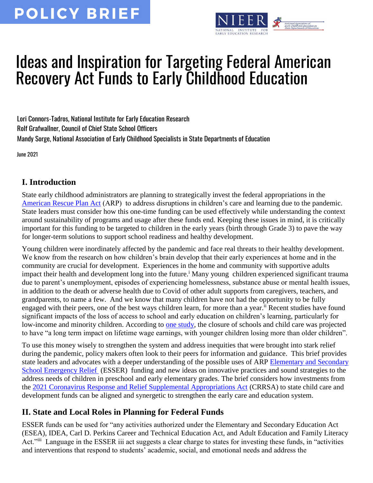

# Ideas and Inspiration for Targeting Federal American Recovery Act Funds to Early Childhood Education

Lori Connors-Tadros, National Institute for Early Education Research Rolf Grafwallner, Council of Chief State School Officers Mandy Sorge, National Association of Early Childhood Specialists in State Departments of Education

June 2021

#### **I. Introduction**

State early childhood administrators are planning to strategically invest the federal appropriations in the [American Rescue Plan Act](https://www.congress.gov/117/bills/hr1319/BILLS-117hr1319enr.pdf) (ARP) to address disruptions in children's care and learning due to the pandemic. State leaders must consider how this one-time funding can be used effectively while understanding the context around sustainability of programs and usage after these funds end. Keeping these issues in mind, it is critically important for this funding to be targeted to children in the early years (birth through Grade 3) to pave the way for longer-term solutions to support school readiness and healthy development.

Young children were inordinately affected by the pandemic and face real threats to their healthy development. We know from the research on how children's brain develop that their early experiences at home and in the community are crucial for development. Experiences in the home and community with supportive adults impact their health and development long into the future.<sup>i</sup> Many young children experienced significant trauma due to parent's unemployment, episodes of experiencing homelessness, substance abuse or mental health issues, in addition to the death or adverse health due to Covid of other adult supports from caregivers, teachers, and grandparents, to name a few. And we know that many children have not had the opportunity to be fully engaged with their peers, one of the best ways children learn, for more than a year.<sup>ii</sup> Recent studies have found significant impacts of the loss of access to school and early education on children's learning, particularly for low-income and minority children. According to [one study,](https://knowledge.wharton.upenn.edu/article/when-should-schools-reopen/) the closure of schools and child care was projected to have "a long term impact on lifetime wage earnings, with younger children losing more than older children".

To use this money wisely to strengthen the system and address inequities that were brought into stark relief during the pandemic, policy makers often look to their peers for information and guidance. This brief provides state leaders and advocates with a deeper understanding of the possible uses of ARP Elementary and Secondary [School Emergency Relief](https://oese.ed.gov/files/2021/03/FINAL_ARP-ESSER-FACT-SHEET.pdf) (ESSER) funding and new ideas on innovative practices and sound strategies to the address needs of children in preschool and early elementary grades. The brief considers how investments from the [2021 Coronavirus Response and Relief Supplemental Appropriations Act](https://www.acf.hhs.gov/occ/data/2021-crrsa-60-day-reports-states-and-territories) (CRRSA) to state child care and development funds can be aligned and synergetic to strengthen the early care and education system.

#### **II. State and Local Roles in Planning for Federal Funds**

ESSER funds can be used for "any activities authorized under the Elementary and Secondary Education Act (ESEA), IDEA, Carl D. Perkins Career and Technical Education Act, and Adult Education and Family Literacy Act."iii Language in the ESSER iii act suggests a clear charge to states for investing these funds, in "activities and interventions that respond to students' academic, social, and emotional needs and address the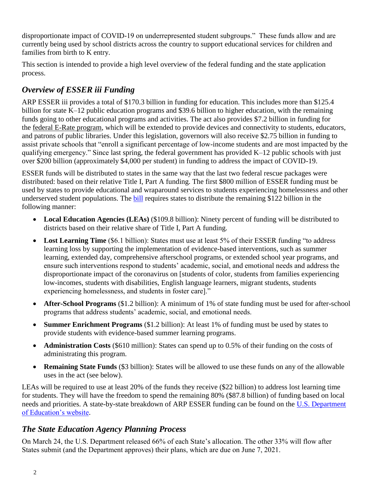disproportionate impact of COVID-19 on underrepresented student subgroups." These funds allow and are currently being used by school districts across the country to support educational services for children and families from birth to K entry.

This section is intended to provide a high level overview of the federal funding and the state application process.

## *Overview of ESSER iii Funding*

ARP ESSER iii provides a total of \$170.3 billion in funding for education. This includes more than \$125.4 billion for state K–12 public education programs and \$39.6 billion to higher education, with the remaining funds going to other educational programs and activities. The act also provides \$7.2 billion in funding for the [federal E-Rate program,](https://www.fcc.gov/consumers/guides/universal-service-program-schools-and-libraries-e-rate) which will be extended to provide devices and connectivity to students, educators, and patrons of public libraries. Under this legislation, governors will also receive \$2.75 billion in funding to assist private schools that "enroll a significant percentage of low-income students and are most impacted by the qualifying emergency." Since last spring, the federal government has provided K–12 public schools with just over \$200 billion (approximately \$4,000 per student) in funding to address the impact of COVID-19.

ESSER funds will be distributed to states in the same way that the last two federal rescue packages were distributed: based on their relative Title I, Part A funding. The first \$800 million of ESSER funding must be used by states to provide educational and wraparound services to students experiencing homelessness and other underserved student populations. The [bill](https://www.congress.gov/117/bills/hr1319/BILLS-117hr1319enr.pdf) requires states to distribute the remaining \$122 billion in the following manner:

- **Local Education Agencies (LEAs)** (\$109.8 billion): Ninety percent of funding will be distributed to districts based on their relative share of Title I, Part A funding.
- **Lost Learning Time** (\$6.1 billion): States must use at least 5% of their ESSER funding "to address learning loss by supporting the implementation of evidence-based interventions, such as summer learning, extended day, comprehensive afterschool programs, or extended school year programs, and ensure such interventions respond to students' academic, social, and emotional needs and address the disproportionate impact of the coronavirus on [students of color, students from families experiencing low-incomes, students with disabilities, English language learners, migrant students, students experiencing homelessness, and students in foster care]."
- **After-School Programs** (\$1.2 billion): A minimum of 1% of state funding must be used for after-school programs that address students' academic, social, and emotional needs.
- **Summer Enrichment Programs** (\$1.2 billion): At least 1% of funding must be used by states to provide students with evidence-based summer learning programs.
- **Administration Costs** (\$610 million): States can spend up to 0.5% of their funding on the costs of administrating this program.
- **Remaining State Funds** (\$3 billion): States will be allowed to use these funds on any of the allowable uses in the act (see below).

LEAs will be required to use at least 20% of the funds they receive (\$22 billion) to address lost learning time for students. They will have the freedom to spend the remaining 80% (\$87.8 billion) of funding based on local needs and priorities. A state-by-state breakdown of ARP ESSER funding can be found on the [U.S. Department](https://www.ed.gov/news/press-releases/department-education-announces-american-rescue-plan-funds-all-50-states-puerto-rico-and-district-columbia-help-schools-reopen)  [of Education's website.](https://www.ed.gov/news/press-releases/department-education-announces-american-rescue-plan-funds-all-50-states-puerto-rico-and-district-columbia-help-schools-reopen)

#### *The State Education Agency Planning Process*

On March 24, the U.S. Department released 66% of each State's allocation. The other 33% will flow after States submit (and the Department approves) their plans, which are due on June 7, 2021.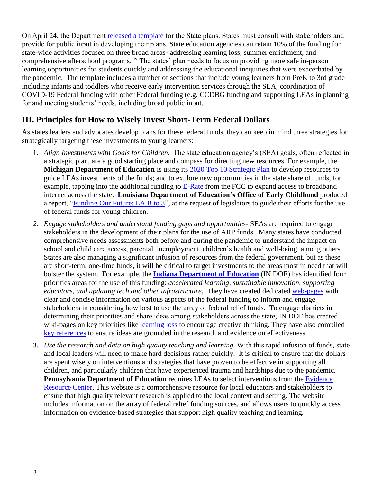On April 24, the Department [released a template](https://www.ed.gov/news/press-releases/us-education-department-releases-state-plan-template-american-rescue-plan-elementary-and-secondary-school-emergency-relief-fund) for the State plans. States must consult with stakeholders and provide for public input in developing their plans. State education agencies can retain 10% of the funding for state-wide activities focused on three broad areas- addressing learning loss, summer enrichment, and comprehensive afterschool programs. iv The states' plan needs to focus on providing more safe in-person learning opportunities for students quickly and addressing the educational inequities that were exacerbated by the pandemic. The template includes a number of sections that include young learners from PreK to 3rd grade including infants and toddlers who receive early intervention services through the SEA, coordination of COVID-19 Federal funding with other Federal funding (e.g. CCDBG funding and supporting LEAs in planning for and meeting students' needs, including broad public input.

#### **III. Principles for How to Wisely Invest Short-Term Federal Dollars**

As states leaders and advocates develop plans for these federal funds, they can keep in mind three strategies for strategically targeting these investments to young learners:

- 1. *Align Investments with Goals for Children.* The state education agency's (SEA) goals, often reflected in a strategic plan, are a good starting place and compass for directing new resources. For example, the **Michigan Department of Education** is using its [2020 Top 10 Strategic Plan](https://www.michigan.gov/mde/0,4615,7-140-80635---,00.html) to develop resources to guide LEAs investments of the funds; and to explore new opportunities in the state share of funds, for example, tapping into the additional funding to [E-Rate](https://www.fcc.gov/consumers/guides/universal-service-program-schools-and-libraries-e-rate) from the FCC to expand access to broadband internet across the state. **Louisiana Department of Education's Office of Early Childhood** produced a report, "Funding Our Future: LA B to  $3$ ", at the request of legislators to guide their efforts for the use of federal funds for young children.
- *2. Engage stakeholders and understand funding gaps and opportunities-* SEAs are required to engage stakeholders in the development of their plans for the use of ARP funds. Many states have conducted comprehensive needs assessments both before and during the pandemic to understand the impact on school and child care access, parental unemployment, children's health and well-being, among others. States are also managing a significant infusion of resources from the federal government, but as these are short-term, one-time funds, it will be critical to target investments to the areas most in need that will bolster the system. For example, the **[Indiana Department of Education](https://www.doe.in.gov/grants/esser-ii-and-iii-information)** (IN DOE) has identified four priorities areas for the use of this funding: *accelerated learning, sustainable innovation, supporting educators, and updating tech and other infrastructure*. They have created dedicated [web-pages](https://www.doe.in.gov/grants/esser-ii-and-iii-information) with clear and concise information on various aspects of the federal funding to inform and engage stakeholders in considering how best to use the array of federal relief funds. To engage districts in determining their priorities and share ideas among stakeholders across the state, IN DOE has created wiki-pages on key priorities like [learning loss](https://www.doe.in.gov/sites/default/files/grants/priorities-mini-learning-loss.pdf) to encourage creative thinking. They have also compiled [key references](https://create.piktochart.com/output/52362900-mini-site-references-page) to ensure ideas are grounded in the research and evidence on effectiveness.
- 3. *Use the research and data on high quality teaching and learning.* With this rapid infusion of funds, state and local leaders will need to make hard decisions rather quickly. It is critical to ensure that the dollars are spent wisely on interventions and strategies that have proven to be effective in supporting all children, and particularly children that have experienced trauma and hardships due to the pandemic. **Pennsylvania Department of Education** requires LEAs to select interventions from the [Evidence](https://www.evidenceforpa.org/)  [Resource Center.](https://www.evidenceforpa.org/) This website is a comprehensive resource for local educators and stakeholders to ensure that high quality relevant research is applied to the local context and setting. The website includes information on the array of federal relief funding sources, and allows users to quickly access information on evidence-based strategies that support high quality teaching and learning.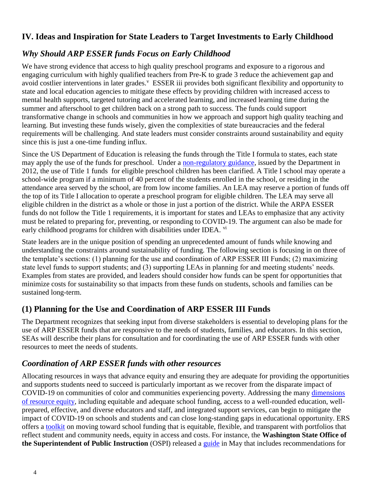#### **IV. Ideas and Inspiration for State Leaders to Target Investments to Early Childhood**

#### *Why Should ARP ESSER funds Focus on Early Childhood*

We have strong evidence that access to high quality preschool programs and exposure to a rigorous and engaging curriculum with highly qualified teachers from Pre-K to grade 3 reduce the achievement gap and avoid costlier interventions in later grades.<sup>V</sup> ESSER iii provides both significant flexibility and opportunity to state and local education agencies to mitigate these effects by providing children with increased access to mental health supports, targeted tutoring and accelerated learning, and increased learning time during the summer and afterschool to get children back on a strong path to success. The funds could support transformative change in schools and communities in how we approach and support high quality teaching and learning. But investing these funds wisely, given the complexities of state bureaucracies and the federal requirements will be challenging. And state leaders must consider constraints around sustainability and equity since this is just a one-time funding influx.

Since the US Department of Education is releasing the funds through the Title I formula to states, each state may apply the use of the funds for preschool. Under a [non-regulatory guidance,](https://www2.ed.gov/policy/elsec/guid/preschoolguidance2012.pdf) issued by the Department in 2012, the use of Title 1 funds for eligible preschool children has been clarified. A Title I school may operate a school-wide program if a minimum of 40 percent of the students enrolled in the school, or residing in the attendance area served by the school, are from low income families. An LEA may reserve a portion of funds off the top of its Title I allocation to operate a preschool program for eligible children. The LEA may serve all eligible children in the district as a whole or those in just a portion of the district. While the ARPA ESSER funds do not follow the Title 1 requirements, it is important for states and LEAs to emphasize that any activity must be related to preparing for, preventing, or responding to COVID-19. The argument can also be made for early childhood programs for children with disabilities under IDEA. vi

State leaders are in the unique position of spending an unprecedented amount of funds while knowing and understanding the constraints around sustainability of funding. The following section is focusing in on three of the template's sections: (1) planning for the use and coordination of ARP ESSER III Funds; (2) maximizing state level funds to support students; and (3) supporting LEAs in planning for and meeting students' needs. Examples from states are provided, and leaders should consider how funds can be spent for opportunities that minimize costs for sustainability so that impacts from these funds on students, schools and families can be sustained long-term.

#### **(1) Planning for the Use and Coordination of ARP ESSER III Funds**

The Department recognizes that seeking input from diverse stakeholders is essential to developing plans for the use of ARP ESSER funds that are responsive to the needs of students, families, and educators. In this section, SEAs will describe their plans for consultation and for coordinating the use of ARP ESSER funds with other resources to meet the needs of students.

#### *Coordination of ARP ESSER funds with other resources*

Allocating resources in ways that advance equity and ensuring they are adequate for providing the opportunities and supports students need to succeed is particularly important as we recover from the disparate impact of COVID-19 on communities of color and communities experiencing poverty. Addressing the many [dimensions](https://www.educationresourceequity.org/dimensions)  [of resource equity,](https://www.educationresourceequity.org/dimensions) including equitable and adequate school funding, access to a well-rounded education, wellprepared, effective, and diverse educators and staff, and integrated support services, can begin to mitigate the impact of COVID-19 on schools and students and can close long-standing gaps in educational opportunity. ERS offers a [toolkit](https://www.erstrategies.org/get_started/funding_portfolio) on moving toward school funding that is equitable, flexible, and transparent with portfolios that reflect student and community needs, equity in access and costs. For instance, the **Washington State Office of the Superintendent of Public Instruction** (OSPI) released a [guide](https://www.k12.wa.us/sites/default/files/public/communications/2021docs/OSPI-Academic-and-Student-Well-Being-Recovery-Plan-Planning-Guide.pdf) in May that includes recommendations for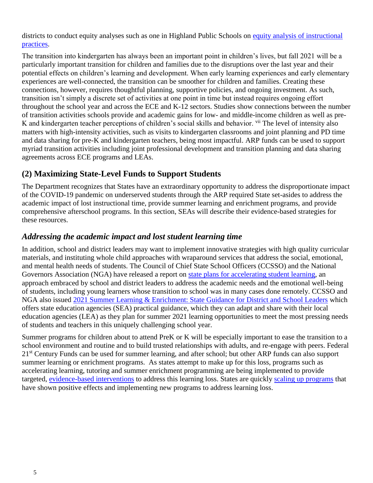districts to conduct equity analyses such as one in Highland Public Schools on [equity analysis of instructional](https://www.highlineschools.org/about/board-policies/policy-details/~board/board-policies/post/procedure-0010-p2-institutional-practices)  [practices.](https://www.highlineschools.org/about/board-policies/policy-details/~board/board-policies/post/procedure-0010-p2-institutional-practices)

The transition into kindergarten has always been an important point in children's lives, but fall 2021 will be a particularly important transition for children and families due to the disruptions over the last year and their potential effects on children's learning and development. When early learning experiences and early elementary experiences are well-connected, the transition can be smoother for children and families. Creating these connections, however, requires thoughtful planning, supportive policies, and ongoing investment. As such, transition isn't simply a discrete set of activities at one point in time but instead requires ongoing effort throughout the school year and across the ECE and K-12 sectors. Studies show connections between the number of transition activities schools provide and academic gains for low- and middle-income children as well as pre-K and kindergarten teacher perceptions of children's social skills and behavior. <sup>vii</sup> The level of intensity also matters with high-intensity activities, such as visits to kindergarten classrooms and joint planning and PD time and data sharing for pre-K and kindergarten teachers, being most impactful. ARP funds can be used to support myriad transition activities including joint professional development and transition planning and data sharing agreements across ECE programs and LEAs.

#### **(2) Maximizing State-Level Funds to Support Students**

The Department recognizes that States have an extraordinary opportunity to address the disproportionate impact of the COVID-19 pandemic on underserved students through the ARP required State set-asides to address the academic impact of lost instructional time, provide summer learning and enrichment programs, and provide comprehensive afterschool programs. In this section, SEAs will describe their evidence-based strategies for these resources.

#### *Addressing the academic impact and lost student learning time*

In addition, school and district leaders may want to implement innovative strategies with high quality curricular materials, and instituting whole child approaches with wraparound services that address the social, emotional, and mental health needs of students. The Council of Chief State School Officers (CCSSO) and the National Governors Association (NGA) have released a report on [state plans for accelerating student learning,](file:///C:/Users/Dell/Documents/ECE%20Collaborative/Review-of-state-learning-acceleration-plans-April-21-2021.pdf) an approach embraced by school and district leaders to address the academic needs and the emotional well-being of students, including young learners whose transition to school was in many cases done remotely. CCSSO and NGA also issued [2021 Summer Learning & Enrichment: State Guidance for District and School Leaders](https://learning.ccsso.org/2021-summer-learning-enrichment-state-guidance-for-district-and-school-leaders) which offers state education agencies (SEA) practical guidance, which they can adapt and share with their local education agencies (LEA) as they plan for summer 2021 learning opportunities to meet the most pressing needs of students and teachers in this uniquely challenging school year.

Summer programs for children about to attend PreK or K will be especially important to ease the transition to a school environment and routine and to build trusted relationships with adults, and re-engage with peers. Federal 21<sup>st</sup> Century Funds can be used for summer learning, and after school; but other ARP funds can also support summer learning or enrichment programs. As states attempt to make up for this loss, programs such as accelerating learning, tutoring and summer enrichment programming are being implemented to provide targeted, [evidence-based interventions](https://learningpolicyinstitute.org/blog/covid-accelerated-learning-build-back-better) to address this learning loss. States are quickly [scaling up programs](https://media.mwcllc.com/publications/states-learning-loss.pdf) that have shown positive effects and implementing new programs to address learning loss.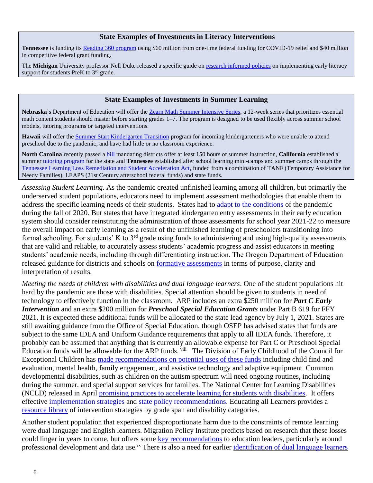#### **State Examples of Investments in Literacy Interventions**

**Tennessee** is funding its [Reading 360 program](https://www.tn.gov/education/reading-360.html) using \$60 million from one-time federal funding for COVID-19 relief and \$40 million in competitive federal grant funding.

The **Michigan** University professor Nell Duke released a specific guide on [research informed policies](file:///C:/Users/Dell/Downloads/School-Based%20Summer%20Programs%20Bill%204048%20Implementation_4_9_21%20finalR.pdf) on implementing early literacy support for students PreK to  $3<sup>rd</sup>$  grade.

#### **State Examples of Investments in Summer Learning**

**Nebraska**'s Department of Education will offer the [Zearn Math Summer Intensive Series,](https://about.zearn.org/nebraska-zearn-math-support) a 12-week series that prioritizes essential math content students should master before starting grades 1–7. The program is designed to be used flexibly across summer school models, tutoring programs or targeted interventions.

**Hawaii** will offer the [Summer Start Kindergarten Transition](https://www.documentcloud.org/documents/20605558-doe-letter-to-principals-on-summer-k-transition) program for incoming kindergarteners who were unable to attend preschool due to the pandemic, and have had little or no classroom experience.

**North Carolina** recently passed a [bill](https://www.ncleg.gov/BillLookUp/2021/h82) mandating districts offer at least 150 hours of summer instruction, **California** established a summe[r tutoring program](https://leginfo.legislature.ca.gov/faces/billTextClient.xhtml?bill_id=202120220SB723) for the state and **Tennessee** established after school learning mini-camps and summer camps through the [Tennessee Learning Loss Remediation and Student Acceleration Act,](https://www.capitol.tn.gov/Bills/112/Bill/HB7004.pdf) funded from a combination of TANF (Temporary Assistance for Needy Families), LEAPS (21st Century afterschool federal funds) and state funds.

*Assessing Student Learning.* As the pandemic created unfinished learning among all children, but primarily the underserved student populations, educators need to implement assessment methodologies that enable them to address the specific learning needs of their students. States had to [adapt to the conditions](https://www.newamerica.org/education-policy/edcentral/kindergarten-entry-assessments-during-covid-19-how-are-states-adapting/) of the pandemic during the fall of 2020. But states that have integrated kindergarten entry assessments in their early education system should consider reinstituting the administration of those assessments for school year 2021-22 to measure the overall impact on early learning as a result of the unfinished learning of preschoolers transitioning into formal schooling. For students' K to 3rd grade using funds to administering and using high-quality assessments that are valid and reliable, to accurately assess students' academic progress and assist educators in meeting students' academic needs, including through differentiating instruction. The Oregon Department of Education released guidance for districts and schools on [formative assessments](file:///C:/Users/Dell/Documents/NIEER%20PPI/Formative%20assessment%20is%20intentional%20and%20requires%20purposeful%20planning%20by%20educators%20to%20clarify%20learning%20goals%20and%20success%20criteria,%20elicit%20evidence%20of%20students’%20thinking,%20provide%20students%20with%20descriptive%20feedback,%20and%20adjust%20instruction%20accordingly.) in terms of purpose, clarity and interpretation of results.

*Meeting the needs of children with disabilities and dual language learners*. One of the student populations hit hard by the pandemic are those with disabilities. Special attention should be given to students in need of technology to effectively function in the classroom. ARP includes an extra \$250 million for *Part C Early Intervention* and an extra \$200 million for *Preschool Special Education Grants* under Part B 619 for FFY 2021. It is expected these additional funds will be allocated to the state lead agency by July 1, 2021. States are still awaiting guidance from the Office of Special Education, though OSEP has advised states that funds are subject to the same IDEA and Uniform Guidance requirements that apply to all IDEA funds. Therefore, it probably can be assumed that anything that is currently an allowable expense for Part C or Preschool Special Education funds will be allowable for the ARP funds. Vill The Division of Early Childhood of the Council for Exceptional Children has [made recommendations on potential uses of these funds](https://nam02.safelinks.protection.outlook.com/?url=https%3A%2F%2Fwww.dec-sped.org%2Fsingle-post%2Frecommendations-for-stakeholders-offering-advice-on-the-use-of-idea-arp-funds-may-2021&data=04%7C01%7Cltadros%40nieer.org%7C292e3d9bcd4c4f481b3a08d91c7d4f6d%7Cb92d2b234d35447093ff69aca6632ffe%7C1%7C1%7C637572146801498583%7CUnknown%7CTWFpbGZsb3d8eyJWIjoiMC4wLjAwMDAiLCJQIjoiV2luMzIiLCJBTiI6Ik1haWwiLCJXVCI6Mn0%3D%7C3000&sdata=E15lJ2hVUo%2FNy6fH1tmnAeuQ6FXfEOvssKzUkEqsOx4%3D&reserved=0) including child find and evaluation, mental health, family engagement, and assistive technology and adaptive equipment. Common developmental disabilities, such as children on the autism spectrum will need ongoing routines, including during the summer, and special support services for families. The National Center for Learning Disabilities (NCLD) released in April [promising practices to accelerate learning for students with disabilities.](https://www.ncld.org/reports-studies/promising-practices-to-accelerate-learning-for-students-with-disabilities-during-covid-19-and-beyond/) It offers effective [implementation strategies](https://www.ncld.org/reports-studies/promising-practices-to-accelerate-learning-for-students-with-disabilities-during-covid-19-and-beyond/part-2-implementing-acceleration-approaches-with-success/) and [state policy recommendations.](https://www.ncld.org/reports-studies/promising-practices-to-accelerate-learning-for-students-with-disabilities-during-covid-19-and-beyond/part-3-state-level-policy-recommendations-and-actions/) Educating all Learners provides a [resource library](https://educatingalllearners.org/search-resource-library/?theme=Intervention+and+Related+Services) of intervention strategies by grade span and disability categories.

Another student population that experienced disproportionate harm due to the constraints of remote learning were dual language and English learners. Migration Policy Institute predicts based on research that these losses could linger in years to come, but offers some [key recommendations](https://www.migrationpolicy.org/sites/default/files/publications/mpi-english-learners-covid-19-final.pdf) to education leaders, particularly around professional development and data use.<sup>ix</sup> There is also a need for earlier [identification of dual language learners](https://www.migrationpolicy.org/research/framework-dual-language-learner-identification)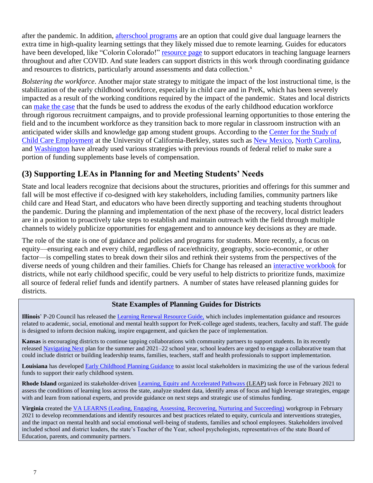after the pandemic. In addition, [afterschool programs](http://www.ascd.org/ascd-express/vol15/num10/after-school-programs-give-english-learners-a-boost.aspx) are an option that could give dual language learners the extra time in high-quality learning settings that they likely missed due to remote learning. Guides for educators have been developed, like "Colorin Colorado!" [resource page](https://www.colorincolorado.org/covid) to support educators in teaching language learners throughout and after COVID. And state leaders can support districts in this work through coordinating guidance and resources to districts, particularly around assessments and data collection.<sup>x</sup>

*Bolstering the workforce*. Another major state strategy to mitigate the impact of the lost instructional time, is the stabilization of the early childhood workforce, especially in child care and in PreK, which has been severely impacted as a result of the working conditions required by the impact of the pandemic. States and local districts can [make the case](https://www.americanprogress.org/issues/early-childhood/reports/2020/10/29/492546/6-state-strategies-improve-child-care-policies-pandemic-beyond/) that the funds be used to address the exodus of the early childhood education workforce through rigorous recruitment campaigns, and to provide professional learning opportunities to those entering the field and to the incumbent workforce as they transition back to more regular in classroom instruction with an anticipated wider skills and knowledge gap among student groups. According to the [Center for the Study of](https://cscce.berkeley.edu/arpa-reccomendations-ece-workforce/)  [Child Care Employment](https://cscce.berkeley.edu/arpa-reccomendations-ece-workforce/) at the University of California-Berkley, states such as [New Mexico,](https://www.krwg.org/post/new-mexico-launches-incentive-pay-program-support-child-care-professionals) [North Carolina,](https://ncchildcare.ncdhhs.gov/Portals/0/documents/pdf/C/COVID-19_Child_Care_Payment_Policies.pdf) and [Washington](http://lawfilesext.leg.wa.gov/biennium/2021-22/Pdf/Amendments/Senate/5092-S.E%20AMC%20CONF%20H1633.3.pdf) have already used various strategies with previous rounds of federal relief to make sure a portion of funding supplements base levels of compensation.

#### **(3) Supporting LEAs in Planning for and Meeting Students' Needs**

State and local leaders recognize that decisions about the structures, priorities and offerings for this summer and fall will be most effective if co-designed with key stakeholders, including families, community partners like child care and Head Start, and educators who have been directly supporting and teaching students throughout the pandemic. During the planning and implementation of the next phase of the recovery, local district leaders are in a position to proactively take steps to establish and maintain outreach with the field through multiple channels to widely publicize opportunities for engagement and to announce key decisions as they are made.

The role of the state is one of guidance and policies and programs for students. More recently, a focus on equity—ensuring each and every child, regardless of race/ethnicity, geography, socio-economic, or other factor—is compelling states to break down their silos and rethink their systems from the perspectives of the diverse needs of young children and their families. Chiefs for Change has released an [interactive workbook](https://docs.google.com/spreadsheets/d/1e-hjPoWXHEw5e9fzSktq_sI0qv8tvxY_WPdaDIuCFY8/edit#gid=0) for districts, while not early childhood specific, could be very useful to help districts to prioritize funds, maximize all source of federal relief funds and identify partners. A number of states have released planning guides for districts.

#### **State Examples of Planning Guides for Districts**

**Illinois**' P-20 Council has released the [Learning Renewal Resource Guide,](https://www2.illinois.gov/sites/P20/Documents/P-20-Learning-Renewal-Resource-Guide-March2021-v19.pdf) which includes implementation guidance and resources related to academic, social, emotional and mental health support for PreK-college aged students, teachers, faculty and staff. The guide is designed to inform decision making, inspire engagement, and quicken the pace of implementation.

**Kansas** is encouraging districts to continue tapping collaborations with community partners to support students. In its recently released [Navigating Next](https://kansasteachingandleadingproject.org/navigating-next/) plan for the summer and 2021–22 school year, school leaders are urged to engage a collaborative team that could include district or building leadership teams, families, teachers, staff and health professionals to support implementation.

**Louisiana** has developed [Early Childhood Planning Guidance](https://www.louisianabelieves.com/docs/default-source/believe/believe!-early-childhood-planning-guide.pdf?sfvrsn=39b06718_4) to assist local stakeholders in maximizing the use of the various federal funds to support their early childhood system.

**Rhode Island** organized its stakeholder-driven [Learning, Equity and Accelerated Pathways](https://www.ride.ri.gov/InsideRIDE/AdditionalInformation/News/ViewArticle/tabid/408/ArticleId/730/RIDE-Announces-the-Learning-Equity-Accelerated-Pathways-LEAP-Task-Force-to-Analyze-and-Address-COVID.aspx) (LEAP) task force in February 2021 to assess the conditions of learning loss across the state, analyze student data, identify areas of focus and high leverage strategies, engage with and learn from national experts, and provide guidance on next steps and strategic use of stimulus funding.

**Virginia** created the [VA LEARNS \(Leading, Engaging, Assessing, Recovering, Nurturing and Succeeding\)](https://www.doe.virginia.gov/instruction/learns/index.shtml) workgroup in February 2021 to develop recommendations and identify resources and best practices related to equity, curricula and interventions strategies, and the impact on mental health and social emotional well-being of students, families and school employees. Stakeholders involved included school and district leaders, the state's Teacher of the Year, school psychologists, representatives of the state Board of Education, parents, and community partners.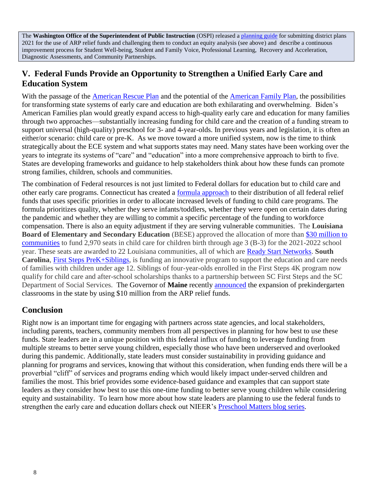The **Washington Office of the Superintendent of Public Instruction** (OSPI) released a [planning guide](file:///C:/Users/Dell/Documents/ECE%20Collaborative/OSPI-Academic-and-Student-Well-Being-Recovery-Plan-Planning-Guide.pdf) for submitting district plans 2021 for the use of ARP relief funds and challenging them to conduct an equity analysis (see above) and describe a continuous improvement process for Student Well-being, Student and Family Voice, Professional Learning, Recovery and Acceleration, Diagnostic Assessments, and Community Partnerships.

### **V. Federal Funds Provide an Opportunity to Strengthen a Unified Early Care and Education System**

With the passage of the [American Rescue Plan](https://www.whitehouse.gov/american-rescue-plan/) and the potential of the [American Family Plan,](https://www.whitehouse.gov/briefing-room/statements-releases/2021/04/28/fact-sheet-the-american-families-plan/) the possibilities for transforming state systems of early care and education are both exhilarating and overwhelming. Biden's American Families plan would greatly expand access to high-quality early care and education for many families through two approaches—substantially increasing funding for child care and the creation of a funding stream to support universal (high-quality) preschool for 3- and 4-year-olds. In previous years and legislation, it is often an either/or scenario: child care or pre-K. As we move toward a more unified system, now is the time to think strategically about the ECE system and what supports states may need. Many states have been working over the years to integrate its systems of "care" and "education" into a more comprehensive approach to birth to five. States are developing frameworks and guidance to help stakeholders think about how these funds can promote strong families, children, schools and communities.

The combination of Federal resources is not just limited to Federal dollars for education but to child care and other early care programs. Connecticut has created a [formula approach](https://www.ctoec.org/covid-19/ready-set-rebuild/stabilization-funding/) to their distribution of all federal relief funds that uses specific priorities in order to allocate increased levels of funding to child care programs. The formula prioritizes quality, whether they serve infants/toddlers, whether they were open on certain dates during the pandemic and whether they are willing to commit a specific percentage of the funding to workforce compensation. There is also an equity adjustment if they are serving vulnerable communities. The **Louisiana Board of Elementary and Secondary Education** (BESE) approved the allocation of more than [\\$30 million to](https://nam02.safelinks.protection.outlook.com/?url=https%3A%2F%2Fwww.louisianabelieves.com%2Fnewsroom%2Fnews-releases%2F2021%2F04%2F28%2Fbese-awards-%2430-million-to-ready-start-networks-to-kickstart-la-b-to-3-and-expand-access-to-high-quality-early-care-and-education&data=04%7C01%7Cltadros%40nieer.org%7C8731740fd8f54db23d3408d91174a5b6%7Cb92d2b234d35447093ff69aca6632ffe%7C1%7C1%7C637560014956813573%7CUnknown%7CTWFpbGZsb3d8eyJWIjoiMC4wLjAwMDAiLCJQIjoiV2luMzIiLCJBTiI6Ik1haWwiLCJXVCI6Mn0%3D%7C0&sdata=AWPyEUuehksvddaNiSqULDpkA27PJ8EFhlFr4%2FCSNoI%3D&reserved=0)  [communities](https://nam02.safelinks.protection.outlook.com/?url=https%3A%2F%2Fwww.louisianabelieves.com%2Fnewsroom%2Fnews-releases%2F2021%2F04%2F28%2Fbese-awards-%2430-million-to-ready-start-networks-to-kickstart-la-b-to-3-and-expand-access-to-high-quality-early-care-and-education&data=04%7C01%7Cltadros%40nieer.org%7C8731740fd8f54db23d3408d91174a5b6%7Cb92d2b234d35447093ff69aca6632ffe%7C1%7C1%7C637560014956813573%7CUnknown%7CTWFpbGZsb3d8eyJWIjoiMC4wLjAwMDAiLCJQIjoiV2luMzIiLCJBTiI6Ik1haWwiLCJXVCI6Mn0%3D%7C0&sdata=AWPyEUuehksvddaNiSqULDpkA27PJ8EFhlFr4%2FCSNoI%3D&reserved=0) to fund 2,970 seats in child care for children birth through age 3 (B-3) for the 2021-2022 school year. These seats are awarded to 22 Louisiana communities, all of which are [Ready Start Networks.](https://nam02.safelinks.protection.outlook.com/?url=https%3A%2F%2Furldefense.proofpoint.com%2Fv2%2Furl%3Fu%3Dhttp-3A__r20.rs6.net_tn.jsp-3Ff-3D001MlCLVTy1zrgAdORvJCxvmUg1IK2Mu-2D91Cr5wAn4Qtx00frOQ-2DRVJckMfUirKoCu-5FHR8cs3glbbTJL22570MfeeF9hvS9lCafz-5FPfKTFvqCT2ggCqpnLWRJn9KOuqeoOBXAsVR5Yqxh4jemFHxrz2XKB3xgQIvkfWp3A9Bef7TYQ-5FxKS8TNZukGw5i8EuuCNzVWif0sd2LpXVa-5FErzf9xa6-2Dj4eN1O4D-5F988l-5F6k-2Dx9-5F9nbJi6svBd-2D7-2Ds-2DuYK0rOiKyN5lLNXRAgcq16n5Od-5FbSC9F9JghrWf2yJkM0F9v9DCb9WDKfK9w-3D-3D-26c-3DjSbv91QZEcWOzgu6fsT2WzwVeP851ffq6248hBLvGHc8RMB6LMzszA-3D-3D-26ch-3DUcRjCJoocYRb6tjMAcuJh-2DOaqITNZ86q7WNQ3aVQOKD1Isr6MBX-2D3A-3D-3D%26d%3DDwMFaQ%26c%3DxlPCXuHzMdaH2Flc1sgyicYpGQbQbU9KDEmgNF3_wI0%26r%3DsUE7axNUxZrdBmsJZzFd0NWisbYc07cF5eLnTtdMlXU%26m%3DSJyshT9gxZ88eXYtR1YEZgplYL3NT9kAz2bXQPceC1s%26s%3DevJncM18dEacwe9NhL45bBriblCN3nyrKkDqnjngepo%26e%3D&data=04%7C01%7Cltadros%40nieer.org%7C8731740fd8f54db23d3408d91174a5b6%7Cb92d2b234d35447093ff69aca6632ffe%7C1%7C1%7C637560014956833484%7CUnknown%7CTWFpbGZsb3d8eyJWIjoiMC4wLjAwMDAiLCJQIjoiV2luMzIiLCJBTiI6Ik1haWwiLCJXVCI6Mn0%3D%7C0&sdata=HjpNlmtnBK7QjGntPyYdEYjP%2F0s1I63WSKHLgj%2BTDd4%3D&reserved=0) **South Carolina**, [First Steps PreK+Siblings,](https://www.scfirststeps.org/first-steps-4k-siblings/) is funding an innovative program to support the education and care needs of families with children under age 12. Siblings of four-year-olds enrolled in the First Steps 4K program now qualify for child care and after-school scholarships thanks to a partnership between SC First Steps and the SC Department of Social Services. The Governor of **Maine** recently [announced](https://mainedoenews.net/2021/05/04/priority-notice-governor-mills-dedicating-10-million-in-federal-relief-funds-to-expand-public-pre-k/) the expansion of prekindergarten classrooms in the state by using \$10 million from the ARP relief funds.

#### **Conclusion**

Right now is an important time for engaging with partners across state agencies, and local stakeholders, including parents, teachers, community members from all perspectives in planning for how best to use these funds. State leaders are in a unique position with this federal influx of funding to leverage funding from multiple streams to better serve young children, especially those who have been underserved and overlooked during this pandemic. Additionally, state leaders must consider sustainability in providing guidance and planning for programs and services, knowing that without this consideration, when funding ends there will be a proverbial "cliff" of services and programs ending which would likely impact under-served children and families the most. This brief provides some evidence-based guidance and examples that can support state leaders as they consider how best to use this one-time funding to better serve young children while considering equity and sustainability. To learn how more about how state leaders are planning to use the federal funds to strengthen the early care and education dollars check out NIEER's [Preschool Matters blog series.](https://nieer.org/publications/blog)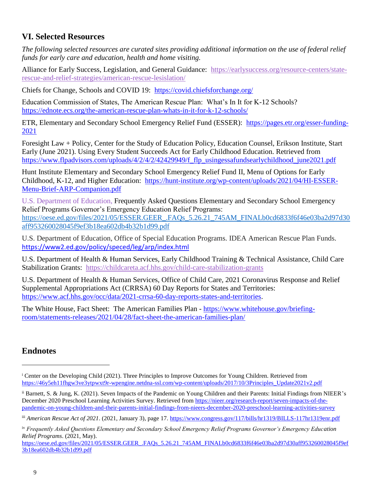### **VI. Selected Resources**

*The following selected resources are curated sites providing additional information on the use of federal relief funds for early care and education, health and home visiting.*

Alliance for Early Success, Legislation, and General Guidance: [https://earlysuccess.org/resource-centers/state](https://earlysuccess.org/resource-centers/state-rescue-and-relief-strategies/american-rescue-lesislation/)[rescue-and-relief-strategies/american-rescue-lesislation/](https://earlysuccess.org/resource-centers/state-rescue-and-relief-strategies/american-rescue-lesislation/)

Chiefs for Change, Schools and COVID 19: <https://covid.chiefsforchange.org/>

Education Commission of States, The American Rescue Plan: What's In It for K-12 Schools? <https://ednote.ecs.org/the-american-rescue-plan-whats-in-it-for-k-12-schools/>

ETR, Elementary and Secondary School Emergency Relief Fund (ESSER): [https://pages.etr.org/esser-funding-](https://pages.etr.org/esser-funding-2021)[2021](https://pages.etr.org/esser-funding-2021)

Foresight Law + Policy, Center for the Study of Education Policy, Education Counsel, Erikson Institute, Start Early (June 2021). Using Every Student Succeeds Act for Early Childhood Education. Retrieved from https://www.flpadvisors.com/uploads/4/2/4/2/42429949/f\_flp\_usingessafundsearlychildhood\_june2021.pdf

Hunt Institute Elementary and Secondary School Emergency Relief Fund II, Menu of Options for Early Childhood, K-12, and Higher Education: [https://hunt-institute.org/wp-content/uploads/2021/04/HI-ESSER-](https://nam02.safelinks.protection.outlook.com/?url=https%3A%2F%2Fhunt-institute.org%2Fwp-content%2Fuploads%2F2021%2F04%2FHI-ESSER-Menu-Brief-ARP-Companion.pdf&data=04%7C01%7Cltadros%40nieer.org%7C05a3173124ca4b86f7bc08d91175855c%7Cb92d2b234d35447093ff69aca6632ffe%7C1%7C1%7C637560018712651562%7CUnknown%7CTWFpbGZsb3d8eyJWIjoiMC4wLjAwMDAiLCJQIjoiV2luMzIiLCJBTiI6Ik1haWwiLCJXVCI6Mn0%3D%7C0&sdata=n0bhUWeEJzg0lI4EUcTD57mht0N7Qyg2RQZt65sxpW4%3D&reserved=0)[Menu-Brief-ARP-Companion.pdf](https://nam02.safelinks.protection.outlook.com/?url=https%3A%2F%2Fhunt-institute.org%2Fwp-content%2Fuploads%2F2021%2F04%2FHI-ESSER-Menu-Brief-ARP-Companion.pdf&data=04%7C01%7Cltadros%40nieer.org%7C05a3173124ca4b86f7bc08d91175855c%7Cb92d2b234d35447093ff69aca6632ffe%7C1%7C1%7C637560018712651562%7CUnknown%7CTWFpbGZsb3d8eyJWIjoiMC4wLjAwMDAiLCJQIjoiV2luMzIiLCJBTiI6Ik1haWwiLCJXVCI6Mn0%3D%7C0&sdata=n0bhUWeEJzg0lI4EUcTD57mht0N7Qyg2RQZt65sxpW4%3D&reserved=0)

U.S. Department of Education, Frequently Asked Questions Elementary and Secondary School Emergency Relief Programs Governor's Emergency Education Relief Programs: [https://oese.ed.gov/files/2021/05/ESSER.GEER\\_.FAQs\\_5.26.21\\_745AM\\_FINALb0cd6833f6f46e03ba2d97d30](https://nam02.safelinks.protection.outlook.com/?url=https%3A%2F%2Foese.ed.gov%2Ffiles%2F2021%2F05%2FESSER.GEER_.FAQs_5.26.21_745AM_FINALb0cd6833f6f46e03ba2d97d30aff953260028045f9ef3b18ea602db4b32b1d99.pdf&data=04%7C01%7Cltadros%40nieer.org%7C7a6a34213b4f402ca3ed08d920852fda%7Cb92d2b234d35447093ff69aca6632ffe%7C1%7C1%7C637576578669015978%7CUnknown%7CTWFpbGZsb3d8eyJWIjoiMC4wLjAwMDAiLCJQIjoiV2luMzIiLCJBTiI6Ik1haWwiLCJXVCI6Mn0%3D%7C1000&sdata=MNer%2Be5rUiXzKqqqI69kfcZkYP0elt5FTd6fCBvLtz8%3D&reserved=0) [aff953260028045f9ef3b18ea602db4b32b1d99.pdf](https://nam02.safelinks.protection.outlook.com/?url=https%3A%2F%2Foese.ed.gov%2Ffiles%2F2021%2F05%2FESSER.GEER_.FAQs_5.26.21_745AM_FINALb0cd6833f6f46e03ba2d97d30aff953260028045f9ef3b18ea602db4b32b1d99.pdf&data=04%7C01%7Cltadros%40nieer.org%7C7a6a34213b4f402ca3ed08d920852fda%7Cb92d2b234d35447093ff69aca6632ffe%7C1%7C1%7C637576578669015978%7CUnknown%7CTWFpbGZsb3d8eyJWIjoiMC4wLjAwMDAiLCJQIjoiV2luMzIiLCJBTiI6Ik1haWwiLCJXVCI6Mn0%3D%7C1000&sdata=MNer%2Be5rUiXzKqqqI69kfcZkYP0elt5FTd6fCBvLtz8%3D&reserved=0) 

U.S. Department of Education, Office of Special Education Programs. IDEA American Rescue Plan Funds. [https://www2.ed.gov/policy/speced/leg/arp/index.html](https://nam02.safelinks.protection.outlook.com/?url=https%3A%2F%2Fwww2.ed.gov%2Fpolicy%2Fspeced%2Fleg%2Farp%2Findex.html&data=04%7C01%7Cltadros%40nieer.org%7C292e3d9bcd4c4f481b3a08d91c7d4f6d%7Cb92d2b234d35447093ff69aca6632ffe%7C1%7C1%7C637572146801498583%7CUnknown%7CTWFpbGZsb3d8eyJWIjoiMC4wLjAwMDAiLCJQIjoiV2luMzIiLCJBTiI6Ik1haWwiLCJXVCI6Mn0%3D%7C3000&sdata=ENIoOrI1PdzCxWFS3Wt3eJ3HmirduIm3ZIHbPTctBIE%3D&reserved=0)

U.S. Department of Health & Human Services, Early Childhood Training & Technical Assistance, Child Care Stabilization Grants: <https://childcareta.acf.hhs.gov/child-care-stabilization-grants>

U.S. Department of Health & Human Services, Office of Child Care, 2021 Coronavirus Response and Relief Supplemental Appropriations Act (CRRSA) 60 Day Reports for States and Territories: [https://www.acf.hhs.gov/occ/data/2021-crrsa-60-day-reports-states-and-territories.](https://www.acf.hhs.gov/occ/data/2021-crrsa-60-day-reports-states-and-territories)

The White House, Fact Sheet: The American Families Plan - [https://www.whitehouse.gov/briefing](https://www.whitehouse.gov/briefing-room/statements-releases/2021/04/28/fact-sheet-the-american-families-plan/)[room/statements-releases/2021/04/28/fact-sheet-the-american-families-plan/](https://www.whitehouse.gov/briefing-room/statements-releases/2021/04/28/fact-sheet-the-american-families-plan/)

### **Endnotes**

l

<sup>&</sup>lt;sup>i</sup> Center on the Developing Child (2021). Three Principles to Improve Outcomes for Young Children. Retrieved from [https://46y5eh11fhgw3ve3ytpwxt9r-wpengine.netdna-ssl.com/wp-content/uploads/2017/10/3Principles\\_Update2021v2.pdf](https://46y5eh11fhgw3ve3ytpwxt9r-wpengine.netdna-ssl.com/wp-content/uploads/2017/10/3Principles_Update2021v2.pdf)

ii Barnett, S. & Jung, K. (2021). Seven Impacts of the Pandemic on Young Children and their Parents: Initial Findings from NIEER's December 2020 Preschool Learning Activities Survey. Retrieved fro[m https://nieer.org/research-report/seven-impacts-of-the](https://nieer.org/research-report/seven-impacts-of-the-pandemic-on-young-children-and-their-parents-initial-findings-from-nieers-december-2020-preschool-learning-activities-survey)[pandemic-on-young-children-and-their-parents-initial-findings-from-nieers-december-2020-preschool-learning-activities-survey](https://nieer.org/research-report/seven-impacts-of-the-pandemic-on-young-children-and-their-parents-initial-findings-from-nieers-december-2020-preschool-learning-activities-survey)

iii *American Rescue Act of 2021*. (2021, January 3), page 17.<https://www.congress.gov/117/bills/hr1319/BILLS-117hr1319enr.pdf>

iv *Frequently Asked Questions Elementary and Secondary School Emergency Relief Programs Governor's Emergency Education Relief Programs*. (2021, May).

[https://oese.ed.gov/files/2021/05/ESSER.GEER\\_.FAQs\\_5.26.21\\_745AM\\_FINALb0cd6833f6f46e03ba2d97d30aff953260028045f9ef](https://oese.ed.gov/files/2021/05/ESSER.GEER_.FAQs_5.26.21_745AM_FINALb0cd6833f6f46e03ba2d97d30aff953260028045f9ef3b18ea602db4b32b1d99.pdf) [3b18ea602db4b32b1d99.pdf](https://oese.ed.gov/files/2021/05/ESSER.GEER_.FAQs_5.26.21_745AM_FINALb0cd6833f6f46e03ba2d97d30aff953260028045f9ef3b18ea602db4b32b1d99.pdf)